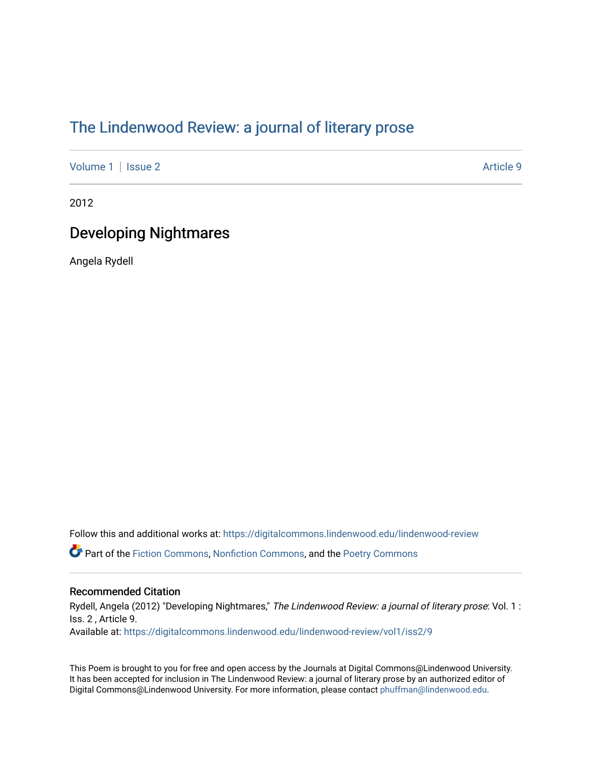## [The Lindenwood Review: a journal of literary prose](https://digitalcommons.lindenwood.edu/lindenwood-review)

[Volume 1](https://digitalcommons.lindenwood.edu/lindenwood-review/vol1) | [Issue 2](https://digitalcommons.lindenwood.edu/lindenwood-review/vol1/iss2) Article 9

2012

## Developing Nightmares

Angela Rydell

Follow this and additional works at: [https://digitalcommons.lindenwood.edu/lindenwood-review](https://digitalcommons.lindenwood.edu/lindenwood-review?utm_source=digitalcommons.lindenwood.edu%2Flindenwood-review%2Fvol1%2Fiss2%2F9&utm_medium=PDF&utm_campaign=PDFCoverPages)

Part of the [Fiction Commons,](http://network.bepress.com/hgg/discipline/1151?utm_source=digitalcommons.lindenwood.edu%2Flindenwood-review%2Fvol1%2Fiss2%2F9&utm_medium=PDF&utm_campaign=PDFCoverPages) [Nonfiction Commons](http://network.bepress.com/hgg/discipline/1152?utm_source=digitalcommons.lindenwood.edu%2Flindenwood-review%2Fvol1%2Fiss2%2F9&utm_medium=PDF&utm_campaign=PDFCoverPages), and the [Poetry Commons](http://network.bepress.com/hgg/discipline/1153?utm_source=digitalcommons.lindenwood.edu%2Flindenwood-review%2Fvol1%2Fiss2%2F9&utm_medium=PDF&utm_campaign=PDFCoverPages)

## Recommended Citation

Rydell, Angela (2012) "Developing Nightmares," The Lindenwood Review: a journal of literary prose: Vol. 1 : Iss. 2 , Article 9. Available at: [https://digitalcommons.lindenwood.edu/lindenwood-review/vol1/iss2/9](https://digitalcommons.lindenwood.edu/lindenwood-review/vol1/iss2/9?utm_source=digitalcommons.lindenwood.edu%2Flindenwood-review%2Fvol1%2Fiss2%2F9&utm_medium=PDF&utm_campaign=PDFCoverPages)

This Poem is brought to you for free and open access by the Journals at Digital Commons@Lindenwood University. It has been accepted for inclusion in The Lindenwood Review: a journal of literary prose by an authorized editor of Digital Commons@Lindenwood University. For more information, please contact [phuffman@lindenwood.edu.](mailto:phuffman@lindenwood.edu)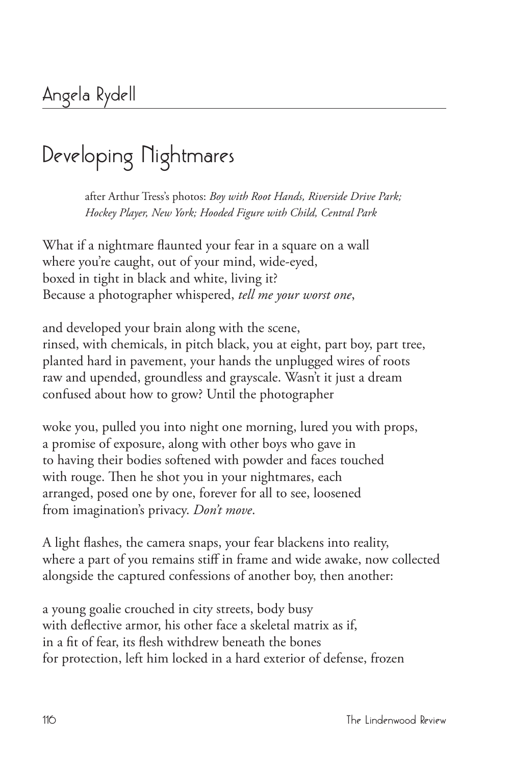## **Developing Nightmares**

after Arthur Tress's photos: *Boy with Root Hands, Riverside Drive Park; Hockey Player, New York; Hooded Figure with Child, Central Park*

What if a nightmare flaunted your fear in a square on a wall where you're caught, out of your mind, wide-eyed, boxed in tight in black and white, living it? Because a photographer whispered, *tell me your worst one*,

and developed your brain along with the scene, rinsed, with chemicals, in pitch black, you at eight, part boy, part tree, planted hard in pavement, your hands the unplugged wires of roots raw and upended, groundless and grayscale. Wasn't it just a dream confused about how to grow? Until the photographer

woke you, pulled you into night one morning, lured you with props, a promise of exposure, along with other boys who gave in to having their bodies softened with powder and faces touched with rouge. Then he shot you in your nightmares, each arranged, posed one by one, forever for all to see, loosened from imagination's privacy. *Don't move*.

A light flashes, the camera snaps, your fear blackens into reality, where a part of you remains stiff in frame and wide awake, now collected alongside the captured confessions of another boy, then another:

a young goalie crouched in city streets, body busy with deflective armor, his other face a skeletal matrix as if, in a fit of fear, its flesh withdrew beneath the bones for protection, left him locked in a hard exterior of defense, frozen